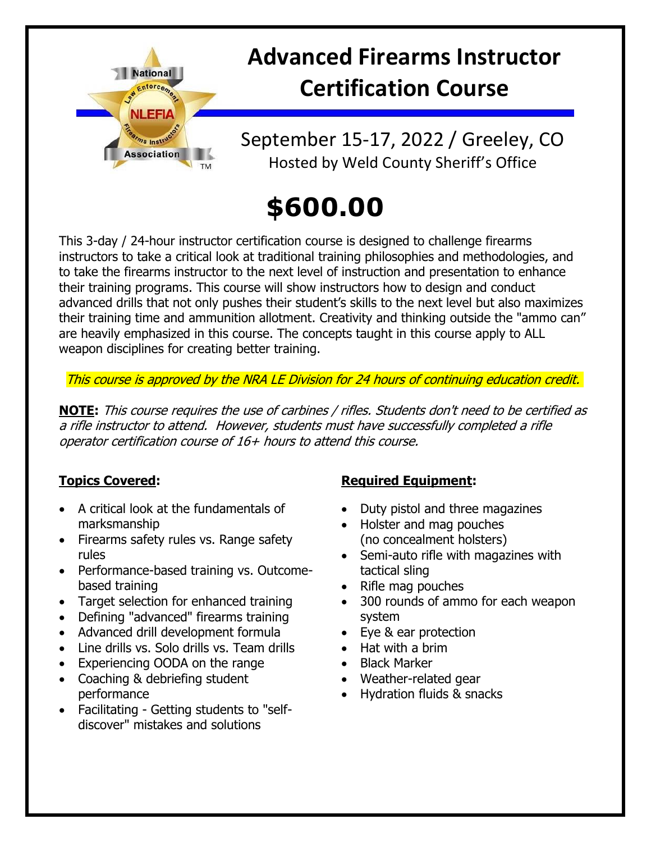

## **Advanced Firearms Instructor Certification Course**

September 15-17, 2022 / Greeley, CO Hosted by Weld County Sheriff's Office

# **\$600.00**

This 3-day / 24-hour instructor certification course is designed to challenge firearms instructors to take a critical look at traditional training philosophies and methodologies, and to take the firearms instructor to the next level of instruction and presentation to enhance their training programs. This course will show instructors how to design and conduct advanced drills that not only pushes their student's skills to the next level but also maximizes their training time and ammunition allotment. Creativity and thinking outside the "ammo can" are heavily emphasized in this course. The concepts taught in this course apply to ALL weapon disciplines for creating better training.

This course is approved by the NRA LE Division for 24 hours of continuing education credit.

**NOTE:** This course requires the use of carbines / rifles. Students don't need to be certified as a rifle instructor to attend. However, students must have successfully completed a rifle operator certification course of 16+ hours to attend this course.

#### **Topics Covered:**

- A critical look at the fundamentals of marksmanship
- Firearms safety rules vs. Range safety rules
- Performance-based training vs. Outcomebased training
- Target selection for enhanced training
- Defining "advanced" firearms training
- Advanced drill development formula
- Line drills vs. Solo drills vs. Team drills
- Experiencing OODA on the range
- Coaching & debriefing student performance
- Facilitating Getting students to "selfdiscover" mistakes and solutions

#### **Required Equipment:**

- Duty pistol and three magazines
- Holster and mag pouches (no concealment holsters)
- Semi-auto rifle with magazines with tactical sling
- Rifle mag pouches
- 300 rounds of ammo for each weapon system
- Eye & ear protection
- Hat with a brim
- Black Marker
- Weather-related gear
- Hydration fluids & snacks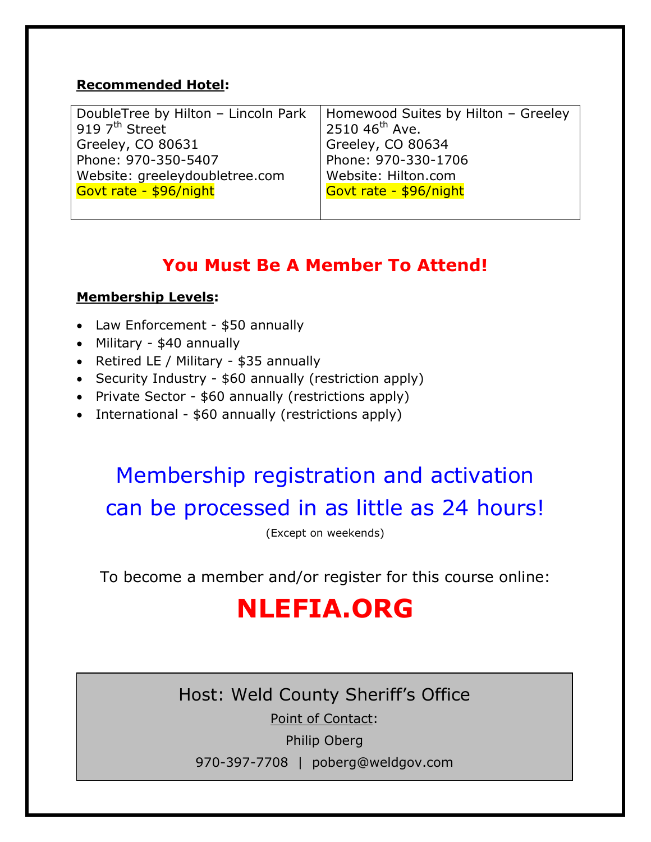#### **Recommended Hotel:**

| DoubleTree by Hilton - Lincoln Park | Homewood Suites by Hilton - Greeley |
|-------------------------------------|-------------------------------------|
| 919 $7th$ Street                    | 2510 46 <sup>th</sup> Ave.          |
| Greeley, CO 80631                   | Greeley, CO 80634                   |
| Phone: 970-350-5407                 | Phone: 970-330-1706                 |
| Website: greeleydoubletree.com      | Website: Hilton.com                 |
| Govt rate - \$96/night              | Govt rate - \$96/night              |
|                                     |                                     |

### **You Must Be A Member To Attend!**

#### **Membership Levels:**

- Law Enforcement \$50 annually
- Military \$40 annually
- Retired LE / Military  $$35$  annually
- Security Industry \$60 annually (restriction apply)
- Private Sector \$60 annually (restrictions apply)
- International \$60 annually (restrictions apply)

### Membership registration and activation can be processed in as little as 24 hours!

(Except on weekends)

To become a member and/or register for this course online:

## **NLEFIA.ORG**

Host: Weld County Sheriff's Office

Point of Contact:

Philip Oberg

970-397-7708 | poberg@weldgov.com